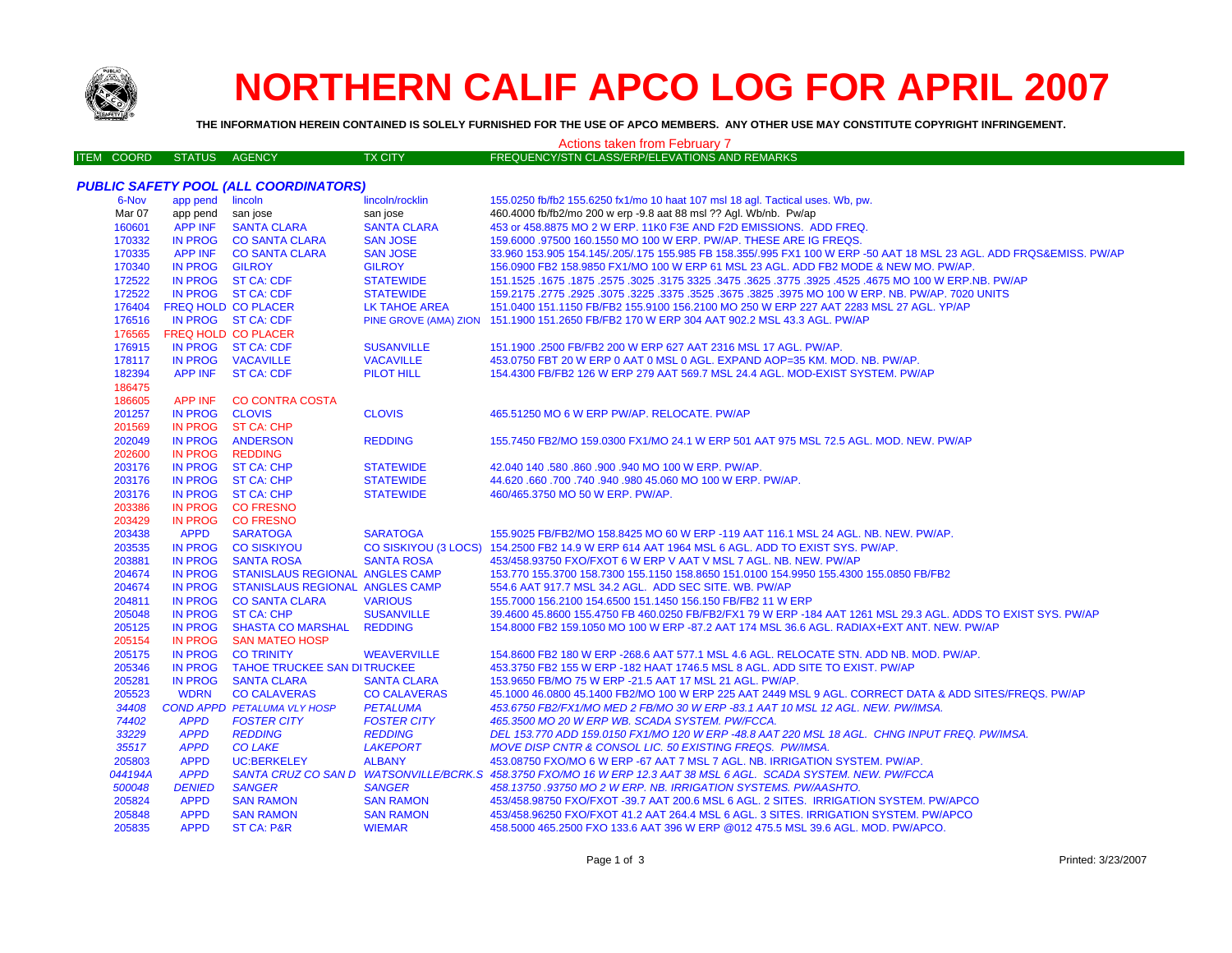

## **NORTHERN CALIF APCO LOG FOR APRIL 2007**

**THE INFORMATION HEREIN CONTAINED IS SOLELY FURNISHED FOR THE USE OF APCO MEMBERS. ANY OTHER USE MAY CONSTITUTE COPYRIGHT INFRINGEMENT.**

| <b>Actions taken from February 7</b> |                   |                            |                                              |                      |                                                                                                                     |  |  |
|--------------------------------------|-------------------|----------------------------|----------------------------------------------|----------------------|---------------------------------------------------------------------------------------------------------------------|--|--|
|                                      | <b>ITEM COORD</b> | <b>STATUS</b>              | <b>AGENCY</b>                                | <b>TX CITY</b>       | FREQUENCY/STN CLASS/ERP/ELEVATIONS AND REMARKS                                                                      |  |  |
|                                      |                   |                            |                                              |                      |                                                                                                                     |  |  |
|                                      |                   |                            | <b>PUBLIC SAFETY POOL (ALL COORDINATORS)</b> |                      |                                                                                                                     |  |  |
|                                      | 6-Nov             | app pend lincoln           |                                              | lincoln/rocklin      | 155.0250 fb/fb2 155.6250 fx1/mo 10 haat 107 msl 18 agl. Tactical uses. Wb, pw.                                      |  |  |
|                                      | Mar 07            | app pend                   | san jose                                     | san jose             | 460.4000 fb/fb2/mo 200 w erp -9.8 aat 88 msl ?? Agl. Wb/nb. Pw/ap                                                   |  |  |
|                                      | 160601            | <b>APP INF</b>             | <b>SANTA CLARA</b>                           | <b>SANTA CLARA</b>   | 453 or 458.8875 MO 2 W ERP. 11K0 F3E AND F2D EMISSIONS. ADD FREQ.                                                   |  |  |
|                                      | 170332            |                            | IN PROG CO SANTA CLARA                       | <b>SAN JOSE</b>      | 159.6000 .97500 160.1550 MO 100 W ERP. PW/AP. THESE ARE IG FREQS.                                                   |  |  |
|                                      | 170335            |                            | APP INF CO SANTA CLARA                       | <b>SAN JOSE</b>      | 33.960 153.905 154.145/.205/.175 155.985 FB 158.355/.995 FX1 100 W ERP -50 AAT 18 MSL 23 AGL. ADD FRQS&EMISS. PW/AP |  |  |
|                                      | 170340            | IN PROG GILROY             |                                              | <b>GILROY</b>        | 156.0900 FB2 158.9850 FX1/MO 100 W ERP 61 MSL 23 AGL. ADD FB2 MODE & NEW MO. PW/AP.                                 |  |  |
|                                      | 172522            |                            | IN PROG ST CA: CDF                           | <b>STATEWIDE</b>     | 4675 MO 100 W ERP.NB. PW/AP. 3525. 3775 3325. 3475 3625. 3775 3325 3475 .3625. 3775 151.1525. 3675. 3675 1675       |  |  |
|                                      | 172522            |                            | IN PROG ST CA: CDF                           | <b>STATEWIDE</b>     | 159.2175 .2775 .2925 .3075 .3225 .3375 .3525 .3675 .3825 .3975 MO 100 W ERP. NB. PW/AP. 7020 UNITS                  |  |  |
|                                      | 176404            | <b>FREQ HOLD CO PLACER</b> |                                              | <b>LK TAHOE AREA</b> | 151.0400 151.1150 FB/FB2 155.9100 156.2100 MO 250 W ERP 227 AAT 2283 MSL 27 AGL. YP/AP                              |  |  |
|                                      | 176516            |                            | IN PROG ST CA: CDF                           |                      | PINE GROVE (AMA) ZION 151.1900 151.2650 FB/FB2 170 W ERP 304 AAT 902.2 MSL 43.3 AGL. PW/AP                          |  |  |
|                                      | 176565            | FREQ HOLD CO PLACER        |                                              |                      |                                                                                                                     |  |  |
|                                      | 176915            |                            | IN PROG ST CA: CDF                           | <b>SUSANVILLE</b>    | 151.1900 .2500 FB/FB2 200 W ERP 627 AAT 2316 MSL 17 AGL. PW/AP.                                                     |  |  |
|                                      | 178117            |                            | IN PROG VACAVILLE                            | <b>VACAVILLE</b>     | 453.0750 FBT 20 W ERP 0 AAT 0 MSL 0 AGL. EXPAND AOP=35 KM. MOD. NB. PW/AP.                                          |  |  |
|                                      | 182394            |                            | APP INF ST CA: CDF                           | <b>PILOT HILL</b>    | 154.4300 FB/FB2 126 W ERP 279 AAT 569.7 MSL 24.4 AGL. MOD-EXIST SYSTEM. PW/AP                                       |  |  |
|                                      | 186475            |                            |                                              |                      |                                                                                                                     |  |  |
|                                      | 186605            | APP INF                    | <b>CO CONTRA COSTA</b>                       |                      |                                                                                                                     |  |  |
|                                      | 201257            | IN PROG CLOVIS             |                                              | <b>CLOVIS</b>        | 465.51250 MO 6 W ERP PW/AP. RELOCATE. PW/AP                                                                         |  |  |
|                                      | 201569            |                            | IN PROG ST CA: CHP                           |                      |                                                                                                                     |  |  |
|                                      | 202049            | <b>IN PROG</b>             | <b>ANDERSON</b>                              | <b>REDDING</b>       | 155.7450 FB2/MO 159.0300 FX1/MO 24.1 W ERP 501 AAT 975 MSL 72.5 AGL. MOD. NEW. PW/AP                                |  |  |
|                                      | 202600            | <b>IN PROG</b>             | <b>REDDING</b>                               |                      |                                                                                                                     |  |  |
|                                      | 203176            |                            | IN PROG ST CA: CHP                           | <b>STATEWIDE</b>     | 42.040 140 .580 .860 .900 .940 MO 100 W ERP. PW/AP.                                                                 |  |  |
|                                      | 203176            |                            | IN PROG ST CA: CHP                           | <b>STATEWIDE</b>     | 44.620 .660 .700 .740 .940 .980 45.060 MO 100 W ERP. PW/AP.                                                         |  |  |
|                                      | 203176            |                            | IN PROG ST CA: CHP                           | <b>STATEWIDE</b>     | 460/465.3750 MO 50 W ERP. PW/AP.                                                                                    |  |  |
|                                      | 203386            |                            | IN PROG CO FRESNO                            |                      |                                                                                                                     |  |  |
|                                      | 203429            |                            | IN PROG CO FRESNO                            |                      |                                                                                                                     |  |  |
|                                      | 203438            | <b>APPD</b>                | <b>SARATOGA</b>                              | <b>SARATOGA</b>      | 155.9025 FB/FB2/MO 158.8425 MO 60 W ERP -119 AAT 116.1 MSL 24 AGL. NB. NEW. PW/AP.                                  |  |  |
|                                      | 203535            |                            | IN PROG CO SISKIYOU                          |                      | CO SISKIYOU (3 LOCS) 154.2500 FB2 14.9 W ERP 614 AAT 1964 MSL 6 AGL. ADD TO EXIST SYS. PW/AP.                       |  |  |
|                                      | 203881            | <b>IN PROG</b>             | <b>SANTA ROSA</b>                            | <b>SANTA ROSA</b>    | 453/458.93750 FXO/FXOT 6 W ERP V AAT V MSL 7 AGL. NB. NEW. PW/AP                                                    |  |  |
|                                      | 204674            | <b>IN PROG</b>             | <b>STANISLAUS REGIONAL ANGLES CAMP</b>       |                      | 153.770 155.3700 158.7300 155.1150 158.8650 151.0100 154.9950 155.4300 155.0850 FB/FB2                              |  |  |
|                                      | 204674            | <b>IN PROG</b>             | STANISLAUS REGIONAL ANGLES CAMP              |                      | 554.6 AAT 917.7 MSL 34.2 AGL. ADD SEC SITE. WB. PW/AP                                                               |  |  |
|                                      | 204811            |                            | IN PROG CO SANTA CLARA                       | <b>VARIOUS</b>       | 155.7000 156.2100 154.6500 151.1450 156.150 FB/FB2 11 W ERP                                                         |  |  |
|                                      | 205048            | IN PROG                    | <b>ST CA: CHP</b>                            | <b>SUSANVILLE</b>    | 39.4600 45.8600 155.4750 FB 460.0250 FB/FB2/FX1 79 W ERP -184 AAT 1261 MSL 29.3 AGL. ADDS TO EXIST SYS. PW/AP       |  |  |
|                                      | 205125            | IN PROG                    | <b>SHASTA CO MARSHAL</b>                     | <b>REDDING</b>       | 154.8000 FB2 159.1050 MO 100 W ERP -87.2 AAT 174 MSL 36.6 AGL. RADIAX+EXT ANT. NEW. PW/AP                           |  |  |
|                                      | 205154            | <b>IN PROG</b>             | <b>SAN MATEO HOSP</b>                        |                      |                                                                                                                     |  |  |
|                                      | 205175            | <b>IN PROG</b>             | <b>CO TRINITY</b>                            | <b>WEAVERVILLE</b>   | 154.8600 FB2 180 W ERP - 268.6 AAT 577.1 MSL 4.6 AGL. RELOCATE STN. ADD NB. MOD. PW/AP.                             |  |  |
|                                      | 205346            |                            | IN PROG TAHOE TRUCKEE SAN DITRUCKEE          |                      | 453.3750 FB2 155 W ERP -182 HAAT 1746.5 MSL 8 AGL. ADD SITE TO EXIST. PW/AP                                         |  |  |
|                                      | 205281            | <b>IN PROG</b>             | <b>SANTA CLARA</b>                           | <b>SANTA CLARA</b>   | 153.9650 FB/MO 75 W ERP -21.5 AAT 17 MSL 21 AGL. PW/AP.                                                             |  |  |
|                                      | 205523            | <b>WDRN</b>                | <b>CO CALAVERAS</b>                          | <b>CO CALAVERAS</b>  | 45.1000 46.0800 45.1400 FB2/MO 100 W ERP 225 AAT 2449 MSL 9 AGL. CORRECT DATA & ADD SITES/FREQS. PW/AP              |  |  |
|                                      | 34408             |                            | <b>COND APPD PETALUMA VLY HOSP</b>           | <b>PETALUMA</b>      | 453.6750 FB2/FX1/MO MED 2 FB/MO 30 W ERP -83.1 AAT 10 MSL 12 AGL. NEW. PW/IMSA.                                     |  |  |
|                                      | 74402             | <b>APPD</b>                | <b>FOSTER CITY</b>                           | <b>FOSTER CITY</b>   | 465.3500 MO 20 W ERP WB. SCADA SYSTEM. PW/FCCA.                                                                     |  |  |
|                                      | 33229             | <b>APPD</b>                | <b>REDDING</b>                               | <b>REDDING</b>       | DEL 153.770 ADD 159.0150 FX1/MO 120 W ERP -48.8 AAT 220 MSL 18 AGL. CHNG INPUT FREQ. PW/IMSA.                       |  |  |
|                                      | 35517             | <b>APPD</b>                | <b>CO LAKE</b>                               | <b>LAKEPORT</b>      | MOVE DISP CNTR & CONSOL LIC. 50 EXISTING FREQS. PW/IMSA.                                                            |  |  |
|                                      | 205803            | <b>APPD</b>                | <b>UC:BERKELEY</b>                           | <b>ALBANY</b>        | 453.08750 FXO/MO 6 W ERP -67 AAT 7 MSL 7 AGL, NB, IRRIGATION SYSTEM, PW/AP,                                         |  |  |
|                                      | 044194A           | <b>APPD</b>                |                                              |                      | SANTA CRUZ CO SAN D WATSONVILLE/BCRK.S 458.3750 FXO/MO 16 W ERP 12.3 AAT 38 MSL 6 AGL. SCADA SYSTEM. NEW. PW/FCCA   |  |  |
|                                      | 500048            | <b>DENIED</b>              | <b>SANGER</b>                                | <b>SANGER</b>        | 458.13750.93750 MO 2 W ERP. NB. IRRIGATION SYSTEMS. PW/AASHTO.                                                      |  |  |
|                                      | 205824            | <b>APPD</b>                | <b>SAN RAMON</b>                             | <b>SAN RAMON</b>     | 453/458.98750 FXO/FXOT -39.7 AAT 200.6 MSL 6 AGL. 2 SITES. IRRIGATION SYSTEM. PW/APCO                               |  |  |
|                                      | 205848            | <b>APPD</b>                | <b>SAN RAMON</b>                             | <b>SAN RAMON</b>     | 453/458.96250 FXO/FXOT 41.2 AAT 264.4 MSL 6 AGL. 3 SITES. IRRIGATION SYSTEM. PW/APCO                                |  |  |
|                                      | 205835            | <b>APPD</b>                | ST CA: P&R                                   | <b>WIEMAR</b>        | 458.5000 465.2500 FXO 133.6 AAT 396 W ERP @012 475.5 MSL 39.6 AGL. MOD. PW/APCO.                                    |  |  |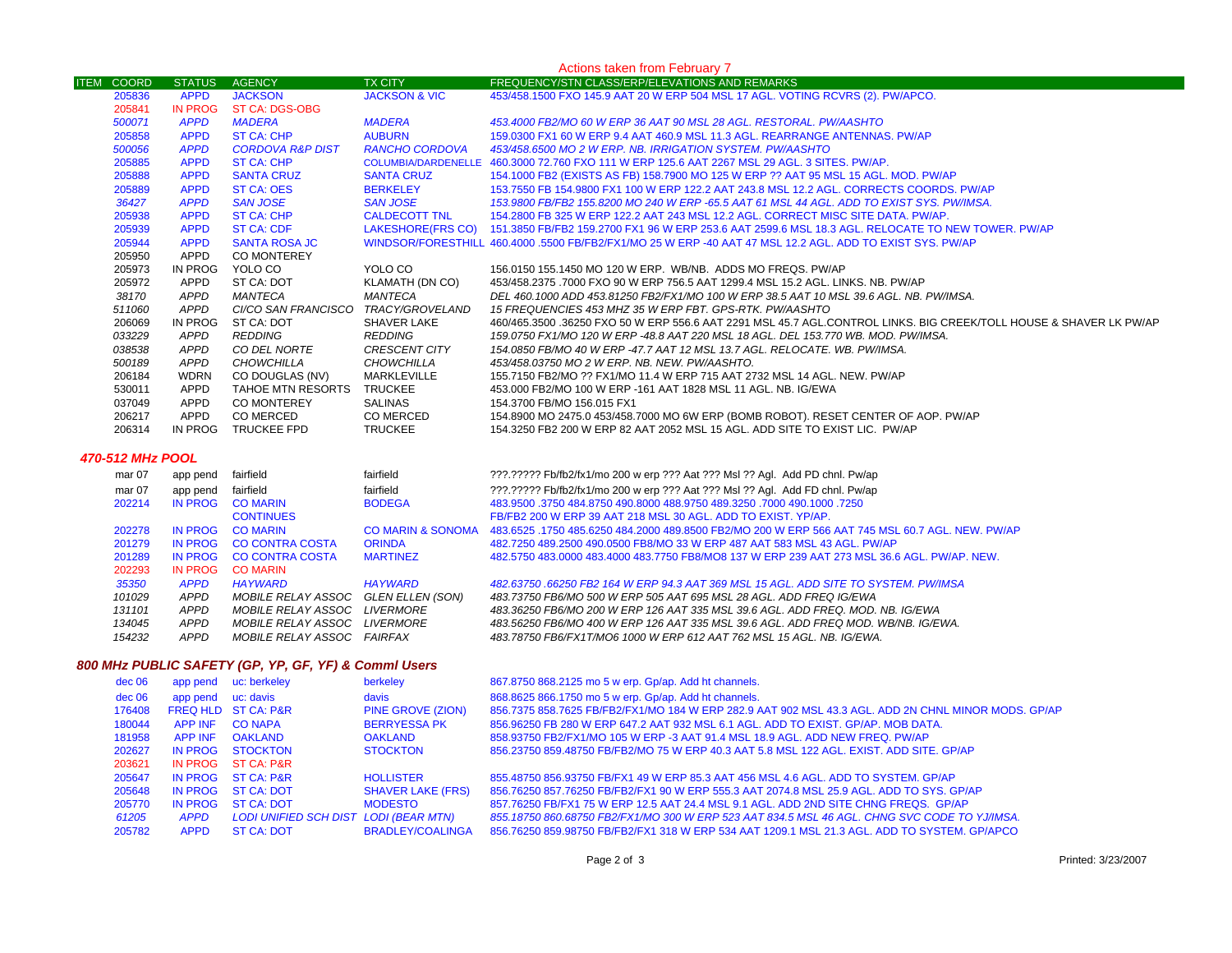|                   | Actions taken from February 7 |                                                      |                              |                                                                                                                    |                    |  |  |
|-------------------|-------------------------------|------------------------------------------------------|------------------------------|--------------------------------------------------------------------------------------------------------------------|--------------------|--|--|
| <b>ITEM COORD</b> | <b>STATUS</b>                 | <b>AGENCY</b>                                        | <b>TX CITY</b>               | FREQUENCY/STN CLASS/ERP/ELEVATIONS AND REMARKS                                                                     |                    |  |  |
| 205836            | <b>APPD</b>                   | <b>JACKSON</b>                                       | <b>JACKSON &amp; VIC</b>     | 453/458.1500 FXO 145.9 AAT 20 W ERP 504 MSL 17 AGL. VOTING RCVRS (2). PW/APCO.                                     |                    |  |  |
| 205841            | <b>IN PROG</b>                | <b>ST CA: DGS-OBG</b>                                |                              |                                                                                                                    |                    |  |  |
| 500071            | <b>APPD</b>                   | <b>MADERA</b>                                        | <b>MADERA</b>                | 453.4000 FB2/MO 60 W ERP 36 AAT 90 MSL 28 AGL. RESTORAL. PW/AASHTO                                                 |                    |  |  |
| 205858            | <b>APPD</b>                   | <b>ST CA: CHP</b>                                    | <b>AUBURN</b>                | 159.0300 FX1 60 W ERP 9.4 AAT 460.9 MSL 11.3 AGL. REARRANGE ANTENNAS. PW/AP                                        |                    |  |  |
| 500056            | <b>APPD</b>                   | <b>CORDOVA R&amp;P DIST</b>                          | <b>RANCHO CORDOVA</b>        | 453/458.6500 MO 2 W ERP. NB. IRRIGATION SYSTEM. PW/AASHTO                                                          |                    |  |  |
| 205885            | <b>APPD</b>                   | <b>ST CA: CHP</b>                                    |                              | COLUMBIA/DARDENELLE 460.3000 72.760 FXO 111 W ERP 125.6 AAT 2267 MSL 29 AGL. 3 SITES. PW/AP.                       |                    |  |  |
| 205888            | <b>APPD</b>                   | <b>SANTA CRUZ</b>                                    | <b>SANTA CRUZ</b>            | 154.1000 FB2 (EXISTS AS FB) 158.7900 MO 125 W ERP ?? AAT 95 MSL 15 AGL. MOD. PW/AP                                 |                    |  |  |
| 205889            | <b>APPD</b>                   | <b>ST CA: OES</b>                                    | <b>BERKELEY</b>              | 153.7550 FB 154.9800 FX1 100 W ERP 122.2 AAT 243.8 MSL 12.2 AGL. CORRECTS COORDS. PW/AP                            |                    |  |  |
| 36427             | <b>APPD</b>                   | <b>SAN JOSE</b>                                      | <b>SAN JOSE</b>              | 153.9800 FB/FB2 155.8200 MO 240 W ERP -65.5 AAT 61 MSL 44 AGL. ADD TO EXIST SYS. PW/IMSA.                          |                    |  |  |
| 205938            | <b>APPD</b>                   | <b>ST CA: CHP</b>                                    | <b>CALDECOTT TNL</b>         | 154.2800 FB 325 W ERP 122.2 AAT 243 MSL 12.2 AGL. CORRECT MISC SITE DATA. PW/AP.                                   |                    |  |  |
| 205939            | <b>APPD</b>                   | <b>ST CA: CDF</b>                                    | LAKESHORE(FRS CO)            | 151.3850 FB/FB2 159.2700 FX1 96 W ERP 253.6 AAT 2599.6 MSL 18.3 AGL. RELOCATE TO NEW TOWER. PW/AP                  |                    |  |  |
| 205944            | <b>APPD</b>                   | <b>SANTA ROSA JC</b>                                 |                              | WINDSOR/FORESTHILL 460.4000 .5500 FB/FB2/FX1/MO 25 W ERP -40 AAT 47 MSL 12.2 AGL. ADD TO EXIST SYS. PW/AP          |                    |  |  |
| 205950            | APPD                          | <b>CO MONTEREY</b>                                   |                              |                                                                                                                    |                    |  |  |
| 205973            | IN PROG                       | YOLO CO                                              | YOLO CO                      | 156.0150 155.1450 MO 120 W ERP. WB/NB. ADDS MO FREQS. PW/AP                                                        |                    |  |  |
| 205972            | APPD                          | ST CA: DOT                                           | KLAMATH (DN CO)              | 453/458.2375 .7000 FXO 90 W ERP 756.5 AAT 1299.4 MSL 15.2 AGL. LINKS. NB. PW/AP                                    |                    |  |  |
| 38170             | <b>APPD</b>                   | MANTECA                                              | <b>MANTECA</b>               | DEL 460.1000 ADD 453.81250 FB2/FX1/MO 100 W ERP 38.5 AAT 10 MSL 39.6 AGL. NB. PW/IMSA.                             |                    |  |  |
| 511060            | <b>APPD</b>                   | CI/CO SAN FRANCISCO                                  | TRACY/GROVELAND              | 15 FREQUENCIES 453 MHZ 35 W ERP FBT. GPS-RTK. PW/AASHTO                                                            |                    |  |  |
| 206069            | IN PROG                       | ST CA: DOT                                           | <b>SHAVER LAKE</b>           | 460/465.3500 .36250 FXO 50 W ERP 556.6 AAT 2291 MSL 45.7 AGL.CONTROL LINKS. BIG CREEK/TOLL HOUSE & SHAVER LK PW/AP |                    |  |  |
| 033229            | <b>APPD</b>                   | <b>REDDING</b>                                       | <b>REDDING</b>               | 159.0750 FX1/MO 120 W ERP -48.8 AAT 220 MSL 18 AGL. DEL 153.770 WB. MOD. PW/IMSA.                                  |                    |  |  |
| 038538            | <b>APPD</b>                   | CO DEL NORTE                                         | <b>CRESCENT CITY</b>         | 154.0850 FB/MO 40 W ERP -47.7 AAT 12 MSL 13.7 AGL. RELOCATE. WB. PW/IMSA.                                          |                    |  |  |
| 500189            | <b>APPD</b>                   | <b>CHOWCHILLA</b>                                    | <b>CHOWCHILLA</b>            | 453/458.03750 MO 2 W ERP. NB. NEW. PW/AASHTO.                                                                      |                    |  |  |
| 206184            | <b>WDRN</b>                   | CO DOUGLAS (NV)                                      | MARKLEVILLE                  | 155.7150 FB2/MO ?? FX1/MO 11.4 W ERP 715 AAT 2732 MSL 14 AGL. NEW. PW/AP                                           |                    |  |  |
| 530011            | <b>APPD</b>                   | TAHOE MTN RESORTS                                    | TRUCKEE                      | 453.000 FB2/MO 100 W ERP -161 AAT 1828 MSL 11 AGL. NB. IG/EWA                                                      |                    |  |  |
| 037049            | <b>APPD</b>                   | <b>CO MONTEREY</b>                                   | <b>SALINAS</b>               | 154.3700 FB/MO 156.015 FX1                                                                                         |                    |  |  |
| 206217            | APPD                          | CO MERCED                                            | CO MERCED                    | 154.8900 MO 2475.0 453/458.7000 MO 6W ERP (BOMB ROBOT). RESET CENTER OF AOP. PW/AP                                 |                    |  |  |
| 206314            | IN PROG                       | <b>TRUCKEE FPD</b>                                   | <b>TRUCKEE</b>               | 154.3250 FB2 200 W ERP 82 AAT 2052 MSL 15 AGL. ADD SITE TO EXIST LIC. PW/AP                                        |                    |  |  |
|                   |                               |                                                      |                              |                                                                                                                    |                    |  |  |
| 470-512 MHz POOL  |                               |                                                      |                              |                                                                                                                    |                    |  |  |
| mar 07            | app pend                      | fairfield                                            | fairfield                    | ???.????? Fb/fb2/fx1/mo 200 w erp ??? Aat ??? Msl ?? Agl. Add PD chnl. Pw/ap                                       |                    |  |  |
|                   |                               | fairfield                                            | fairfield                    | ???.????? Fb/fb2/fx1/mo 200 w erp ??? Aat ??? Msl ?? Agl. Add FD chnl. Pw/ap                                       |                    |  |  |
| mar 07<br>202214  | app pend<br>IN PROG           | <b>CO MARIN</b>                                      | <b>BODEGA</b>                | 483.9500 .3750 484.8750 490.8000 488.9750 489.3250 .7000 490.1000 .7250                                            |                    |  |  |
|                   |                               | <b>CONTINUES</b>                                     |                              | FB/FB2 200 W ERP 39 AAT 218 MSL 30 AGL. ADD TO EXIST. YP/AP.                                                       |                    |  |  |
| 202278            | IN PROG                       | <b>CO MARIN</b>                                      | <b>CO MARIN &amp; SONOMA</b> | 483.6525 .1750 485.6250 484.2000 489.8500 FB2/MO 200 W ERP 566 AAT 745 MSL 60.7 AGL. NEW. PW/AP                    |                    |  |  |
| 201279            | <b>IN PROG</b>                | <b>CO CONTRA COSTA</b>                               | <b>ORINDA</b>                | 482.7250 489.2500 490.0500 FB8/MO 33 W ERP 487 AAT 583 MSL 43 AGL. PW/AP                                           |                    |  |  |
| 201289            | IN PROG                       | <b>CO CONTRA COSTA</b>                               | <b>MARTINEZ</b>              | 482.5750 483.0000 483.4000 483.7750 FB8/MO8 137 W ERP 239 AAT 273 MSL 36.6 AGL. PW/AP. NEW.                        |                    |  |  |
| 202293            | <b>IN PROG</b>                | <b>CO MARIN</b>                                      |                              |                                                                                                                    |                    |  |  |
| 35350             | <b>APPD</b>                   | <b>HAYWARD</b>                                       | <b>HAYWARD</b>               | 482.63750 .66250 FB2 164 W ERP 94.3 AAT 369 MSL 15 AGL. ADD SITE TO SYSTEM. PW/IMSA                                |                    |  |  |
| 101029            | <b>APPD</b>                   | MOBILE RELAY ASSOC GLEN ELLEN (SON)                  |                              | 483.73750 FB6/MO 500 W ERP 505 AAT 695 MSL 28 AGL. ADD FREQ IG/EWA                                                 |                    |  |  |
| 131101            | <b>APPD</b>                   | MOBILE RELAY ASSOC                                   | <i>LIVERMORE</i>             | 483.36250 FB6/MO 200 W ERP 126 AAT 335 MSL 39.6 AGL. ADD FREQ. MOD. NB. IG/EWA                                     |                    |  |  |
| 134045            | <b>APPD</b>                   | MOBILE RELAY ASSOC LIVERMORE                         |                              | 483.56250 FB6/MO 400 W ERP 126 AAT 335 MSL 39.6 AGL. ADD FREQ MOD. WB/NB. IG/EWA.                                  |                    |  |  |
| 154232            | <b>APPD</b>                   | MOBILE RELAY ASSOC FAIRFAX                           |                              | 483.78750 FB6/FX1T/MO6 1000 W ERP 612 AAT 762 MSL 15 AGL. NB. IG/EWA.                                              |                    |  |  |
|                   |                               |                                                      |                              |                                                                                                                    |                    |  |  |
|                   |                               | 800 MHz PUBLIC SAFETY (GP, YP, GF, YF) & Commi Users |                              |                                                                                                                    |                    |  |  |
| dec 06            | app pend                      | uc: berkeley                                         | berkeley                     | 867.8750 868.2125 mo 5 w erp. Gp/ap. Add ht channels.                                                              |                    |  |  |
|                   |                               |                                                      |                              |                                                                                                                    |                    |  |  |
| dec 06            | app pend uc: davis            |                                                      | davis                        | 868.8625 866.1750 mo 5 w erp. Gp/ap. Add ht channels.                                                              |                    |  |  |
| 176408            |                               | FREQ HLD ST CA: P&R                                  | PINE GROVE (ZION)            | 856.7375 858.7625 FB/FB2/FX1/MO 184 W ERP 282.9 AAT 902 MSL 43.3 AGL. ADD 2N CHNL MINOR MODS. GP/AP                |                    |  |  |
| 180044            | <b>APP INF</b>                | <b>CO NAPA</b>                                       | <b>BERRYESSA PK</b>          | 856.96250 FB 280 W ERP 647.2 AAT 932 MSL 6.1 AGL. ADD TO EXIST. GP/AP. MOB DATA.                                   |                    |  |  |
| 181958            | APP INF                       | <b>OAKLAND</b>                                       | <b>OAKLAND</b>               | 858.93750 FB2/FX1/MO 105 W ERP -3 AAT 91.4 MSL 18.9 AGL. ADD NEW FREQ. PW/AP                                       |                    |  |  |
| 202627            |                               | IN PROG STOCKTON                                     | <b>STOCKTON</b>              | 856.23750 859.48750 FB/FB2/MO 75 W ERP 40.3 AAT 5.8 MSL 122 AGL. EXIST. ADD SITE. GP/AP                            |                    |  |  |
| 203621            | IN PROG                       | ST CA: P&R                                           |                              |                                                                                                                    |                    |  |  |
| 205647            |                               | IN PROG ST CA: P&R                                   | <b>HOLLISTER</b>             | 855.48750 856.93750 FB/FX1 49 W ERP 85.3 AAT 456 MSL 4.6 AGL. ADD TO SYSTEM. GP/AP                                 |                    |  |  |
| 205648            |                               | IN PROG ST CA: DOT                                   | <b>SHAVER LAKE (FRS)</b>     | 856.76250 857.76250 FB/FB2/FX1 90 W ERP 555.3 AAT 2074.8 MSL 25.9 AGL. ADD TO SYS. GP/AP                           |                    |  |  |
| 205770            | IN PROG                       | <b>ST CA: DOT</b>                                    | <b>MODESTO</b>               | 857.76250 FB/FX1 75 W ERP 12.5 AAT 24.4 MSL 9.1 AGL. ADD 2ND SITE CHNG FREQS. GP/AP                                |                    |  |  |
| 61205             | <b>APPD</b>                   | LODI UNIFIED SCH DIST LODI (BEAR MTN)                |                              | 855.18750 860.68750 FB2/FX1/MO 300 W ERP 523 AAT 834.5 MSL 46 AGL. CHNG SVC CODE TO YJ/IMSA.                       |                    |  |  |
| 205782            | <b>APPD</b>                   | <b>ST CA: DOT</b>                                    | <b>BRADLEY/COALINGA</b>      | 856.76250 859.98750 FB/FB2/FX1 318 W ERP 534 AAT 1209.1 MSL 21.3 AGL. ADD TO SYSTEM. GP/APCO                       |                    |  |  |
|                   |                               |                                                      |                              |                                                                                                                    |                    |  |  |
|                   |                               |                                                      |                              | Page 2 of 3                                                                                                        | Printed: 3/23/2007 |  |  |